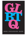

# BOOK DISCUSSION GUIDE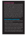## **INTRODUCTION**

Gay, lesbian, bisexual, transgender, queer, or questioning (GLBTQ) literature for young adults has grown and changed in the past 40 years from the whispered mention of a character's homosexuality to books which treat GLBTQ teens as straight teens have been treated in YA literature for years—people struggling with their identity, their families, their love lives, and all the emotions which come with being human. No longer is the GLBTQ character doomed to a painful secrecy or a lifetime of misery. Young people need to see characters they can relate to in books they read, and many times, teens can completely relate to a gay character's struggle with identity because they too are struggling with their own identity, perhaps not their sexual identity but one of the other facets which make up who each one of us is. In many situations, relationship issues are relationship issues. Problems with parents and friends, trying to fit in with peers and finding their own place in the world are things every teenager faces—gay or straight, black or white, Christian or Muslim. GLBTQ literature offers one more piece in the puzzle that is a teenager and provides comfort and support for all young people because the struggles of growing up are universal.

## **DISCUSSION QUESTIONS**

- •*Boy Meets Boy* has been described as a revolutionary gay novel. Discuss whether or not this is the case in your opinion, using the other four books for examples.
- •Regardless of what issue you're facing, the support of family and/or friends is one of the most important ingredients for a successful resolution to the problem. How is this true in each of these books? Or how does the lack of support make the problem even more challenging?
- In *What They Always Tell Us*, we see the many situations from the viewpoint of both James and Alex. This gives us the unusual privilege of seeing "both sides" of the story. Choose a character from one of the other stories and supply the "other side" of a pivotal event.
- Take three characters from three different books and create a plot outline for a new story. What characters from different stories do you think should interact? What might happen if they did? Would there be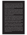more acceptance or less when you put your three characters together?

- •Historically, suicide and unexpected deaths often figure in to GLBTQ literature. How does suicide figure into these stories? Has the suicide angle been used too much in this collection of stories? Why do you think that suicide and unexpected deaths figure so prominently in GLBTQ literature still? How has Levithan changed that model in *Boy Meets Boy* and is it successful?
- •Could any of these books have survived as stories if there were no gay plot? For example, what if Alex and Nathen (*What They Always Tell Us*) were a boy and a girl (Alexandra and Nathen)? How would the story have to be changed? Does the "gayness" ultimately matter in whether it's a good story or not? Does the plot resemble any other plots you've read? If you've read *Romeo and Juliet*, think about the similarities and differences between the heterosexual relationship and the homosexual relationship.
- •Discuss the different reactions that people have when they discover their friend or family member's homosexuality. What makes the responses so different in each of the individual situations? In particular, what response does Logan in *Almost Perfect* have initially? How does this change? Do you think it's a valid change or do you feel this change in attitude never could have happened? Why do you feel that way?
- •What is the importance of seemingly minor characters in the books? Why is the story of Henry included in *What They Always Tell Us*? What part does Robbie play in Johanna and Reeve's story in *Rage: A Love Story*?
- The statement is made in *Jumpstart the World* that Frank's transgenderism makes him fearful of hospitals and jails. What other situations could a transgendered person be fearful of? What can be done in our society to reasonably alleviate some of those fears?
- It is often said that it's easier for GLBTQ people in big cities. In fact, Frank and Molly (*Jumpstart the World*) leave New York City with a great deal of trepidation because they are moving back to the South. Does place play a role in how the GLBTQ characters are treated in each of the stories? Do you think it is easier to be gay in a big city rather than a small town? In the South? In different countries? Why or why not?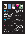## **FEATURED BOOKS**



#### Almost Perfect

Brian Katcher Grades 9 up • Delacorte Press PB: 978-0-385-73665-7 HC: 978-0-385-73664-0 • GLB: 978-0-385-90620-3

Logan wishes he never acted on his feelings for Sage when she finally discloses her big secret: she's actually a boy. Enraged, frightened, and feeling betrayed, Logan lashes out at Sage and disowns her. But once Logan comes to terms with what happened, he reaches out to Sage in an attempt to understand her situation. But Logan has no idea how rocky the road back to friendship will be.

★"An accessible tone that will resonate with teens."—*Kirkus Reviews*, Starred

#### Boy Meets Boy

David Levithan Grades 7 up • Alfred A. Knopf PB: 978-0-375-83299-4

This is the story of Paul, a sophomore at a high school like no other: The cheerleaders ride Harleys, the homecoming queen used to be a guy named Daryl (she now prefers Infinite Darlene and is also the star quarterback), and the gay-straight alliance was formed to help the straight kids learn how to dance.

★"This is arguably the most important gay novel since *Annie on My Mind* and seems to represent a revolution in the publishing of gay-themed books for adolescents."

—*Booklist*, Starred

#### Jumpstart the World

Catherine Ryan Hyde Grades 9 up · Alfred A. Knopf HC: 978-0-375-86665-4 • GLB: 978-0-375-96665-1 Elle is falling hard for her new neighbor Frank. When she discovers that he is transgender, her world is turned upside down. But when an accident nearly takes Frank's life, Elle must search inside herself to find not only the true meaning of friendship, but also her own role in jumpstarting the world.

#### Rage: A Love Story

Julie Anne Peters Grades 9 up • Alfred A. Knopf PB: 978-0-375-84411-9 HC: 978-0-375-85209-1 • GLB: 978-0-375-95209-8

Johanna is steadfast, patient, reliable—the go-to girl, the one everyone can count on. Reeve is fierce, beautiful, wounded, elusive a flame that draws Johanna's fluttering moth. Johanna is determined to get her, against all advice, and to help her, against all reason. But love isn't always reasonable, right?

In the precarious place where attraction and need collide, a teenager experiences the darkside of a first love, and struggles to find her way into a new light.

#### What They Always Tell Us

Martin Wilson Grades 9 up • Delacorte Press PB: 978-0-385-73508-7 HC: 978-0-385-73507-0 • GLB: 978-0-385-90500-8

James and Alex have barely anything in common anymore—least of all their experiences in high school, where James is a popular senior and Alex is suddenly an outcast. But at home, there is Henry, the precocious 10-year-old across the street, who eagerly befriends them both. And when Alex takes up running, there is James's friend Nathen, who unites the brothers in moving and unexpected ways.

★"Insightfully evoked, Alex, James and their friends will leave a lasting impression on readers." —*Publishers Weekly*, Starred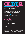

### GLSEN—the Gay, Lesbian, Straight Education Network

### **www.glsen.org**

The mission of GLSEN is to educate teachers and students about safe schools. The Safe Space Kit has recently been updated to include a great resource about being an ally.

### The Rainbow Project List **rainbowlist.wordpress.com**

A yearly bibliography of recommended titles with GLBTQ content for children from birth to age 18.

### I'm Here and I'm Queer and What the Hell Do I Read?

### **www.leewind.org**

An award-winning blog started in 2007 by a 16-year-old teen boy who welcomes everyone and provides intriguing GLBTQ news, as well as book reviews and discussions.

### PFLAG—Parents, Families, and Friends of Lesbians and Gays

### **www.pflag.org**

This is a family-friendly organization that supports GLBTQ persons of any age.

### Teaching Tolerance

### **www.tolerance.org**

Free materials for educators about all aspects of tolerance and acceptance for all, including GLBTQ youth. There are many curricular materials and activities as well as information for teachers and students, grades K–12.